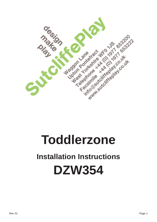

# **Toddlerzone**

## **Installation Instructions DZW354**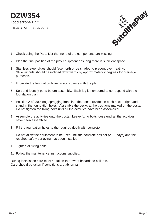**DZW354** Toddlerzone Unit Installation Instructions



- 1 Check using the Parts List that none of the components are missing.
- 2 Plan the final position of the play equipment ensuring there is sufficient space.
- 3 Stainless steel slides should face north or be shaded to prevent over heating. Slide runouts should be inclined downwards by approximately 2 degrees for drainage purposes.
- 4 Excavate the foundation holes in accordance with the plan.
- 5 Sort and identify parts before assembly. Each leg is numbered to correspond with the foundation plan.
- 6 Position 2 off 300 long spragging irons into the hoes provided in each post upright and stand in the foundation holes. Assemble the decks at the positions marked on the posts. Do not tighten the fixing bolts until all the activities have been assembled.
- 7 Assemble the activities onto the posts. Leave fixing bolts loose until all the activities have been assembled.
- 8 Fill the foundation holes to the required depth with concrete.
- 9 Do not allow the equipment to be used until the concrete has set (2 3 days) and the required safety surfacing has been installed.
- 10 Tighten all fixing bolts.
- 11 Follow the maintenance instructions supplied.

During installation care must be taken to prevent hazards to children. Care should be taken if conditions are abnormal.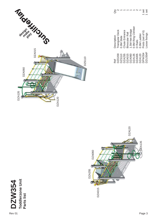**DZW354**



![](_page_2_Picture_3.jpeg)

![](_page_2_Figure_4.jpeg)

#### Page 3

 $\frac{1}{1}$  set  $\widetilde{\text{G}}$